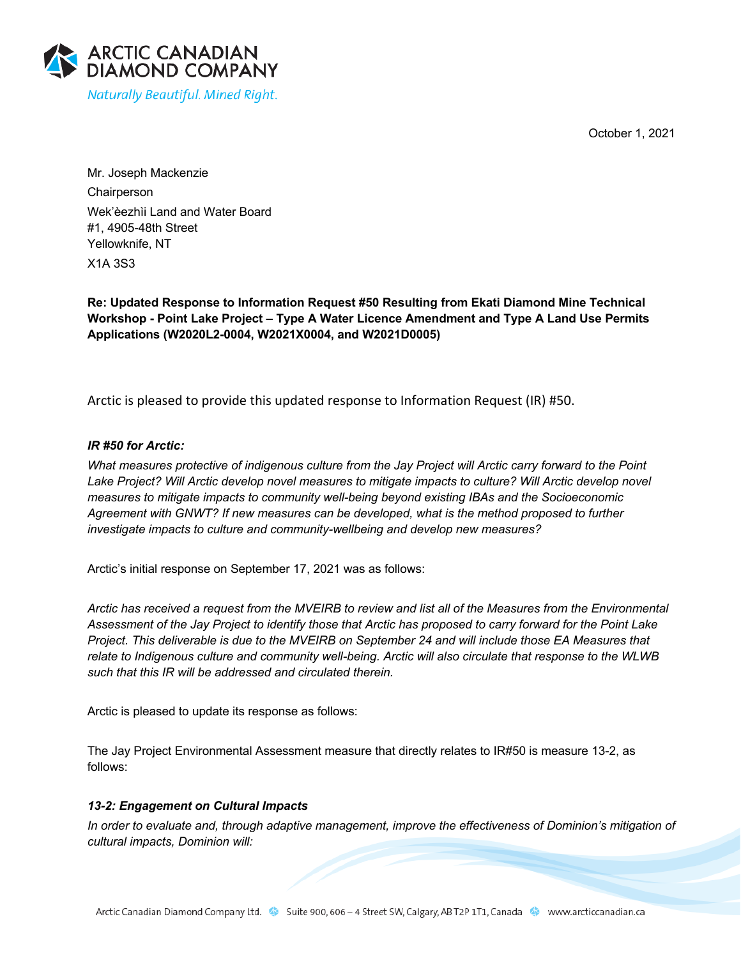October 1, 2021



Mr. Joseph Mackenzie Chairperson Wek'èezhìi Land and Water Board #1, 4905-48th Street Yellowknife, NT X1A 3S3

**Re: Updated Response to Information Request #50 Resulting from Ekati Diamond Mine Technical Workshop - Point Lake Project – Type A Water Licence Amendment and Type A Land Use Permits Applications (W2020L2-0004, W2021X0004, and W2021D0005)**

Arctic is pleased to provide this updated response to Information Request (IR) #50.

## *IR #50 for Arctic:*

*What measures protective of indigenous culture from the Jay Project will Arctic carry forward to the Point Lake Project? Will Arctic develop novel measures to mitigate impacts to culture? Will Arctic develop novel measures to mitigate impacts to community well-being beyond existing IBAs and the Socioeconomic Agreement with GNWT? If new measures can be developed, what is the method proposed to further investigate impacts to culture and community-wellbeing and develop new measures?*

Arctic's initial response on September 17, 2021 was as follows:

*Arctic has received a request from the MVEIRB to review and list all of the Measures from the Environmental Assessment of the Jay Project to identify those that Arctic has proposed to carry forward for the Point Lake Project. This deliverable is due to the MVEIRB on September 24 and will include those EA Measures that relate to Indigenous culture and community well-being. Arctic will also circulate that response to the WLWB such that this IR will be addressed and circulated therein.*

Arctic is pleased to update its response as follows:

The Jay Project Environmental Assessment measure that directly relates to IR#50 is measure 13-2, as follows:

## *13-2: Engagement on Cultural Impacts*

*In order to evaluate and, through adaptive management, improve the effectiveness of Dominion's mitigation of cultural impacts, Dominion will:*